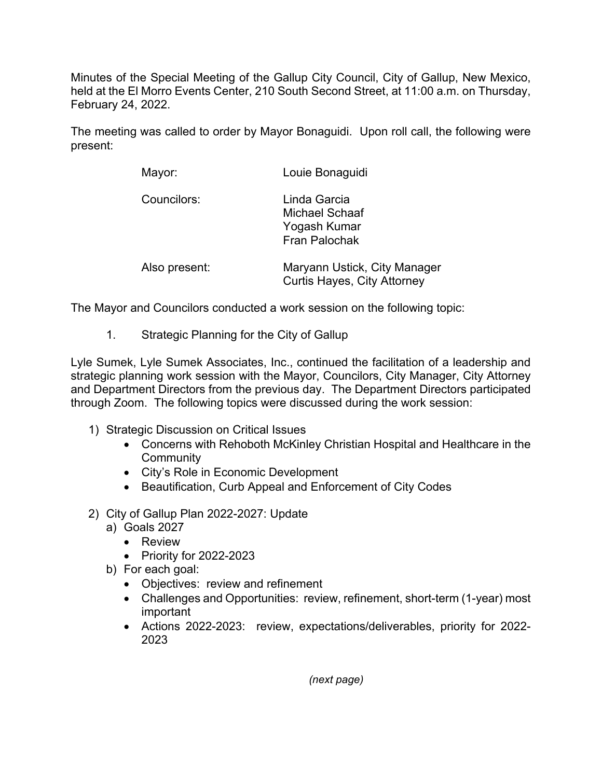Minutes of the Special Meeting of the Gallup City Council, City of Gallup, New Mexico, held at the El Morro Events Center, 210 South Second Street, at 11:00 a.m. on Thursday, February 24, 2022.

The meeting was called to order by Mayor Bonaguidi. Upon roll call, the following were present:

| Mayor:        | Louie Bonaguidi                                                        |
|---------------|------------------------------------------------------------------------|
| Councilors:   | Linda Garcia<br>Michael Schaaf<br>Yogash Kumar<br><b>Fran Palochak</b> |
| Also present: | Maryann Ustick, City Manager<br><b>Curtis Hayes, City Attorney</b>     |

The Mayor and Councilors conducted a work session on the following topic:

1. Strategic Planning for the City of Gallup

Lyle Sumek, Lyle Sumek Associates, Inc., continued the facilitation of a leadership and strategic planning work session with the Mayor, Councilors, City Manager, City Attorney and Department Directors from the previous day. The Department Directors participated through Zoom. The following topics were discussed during the work session:

- 1) Strategic Discussion on Critical Issues
	- Concerns with Rehoboth McKinley Christian Hospital and Healthcare in the **Community**
	- City's Role in Economic Development
	- Beautification, Curb Appeal and Enforcement of City Codes
- 2) City of Gallup Plan 2022-2027: Update
	- a) Goals 2027
		- Review
		- Priority for 2022-2023
	- b) For each goal:
		- Objectives: review and refinement
		- Challenges and Opportunities: review, refinement, short-term (1-year) most important
		- Actions 2022-2023: review, expectations/deliverables, priority for 2022- 2023

*(next page)*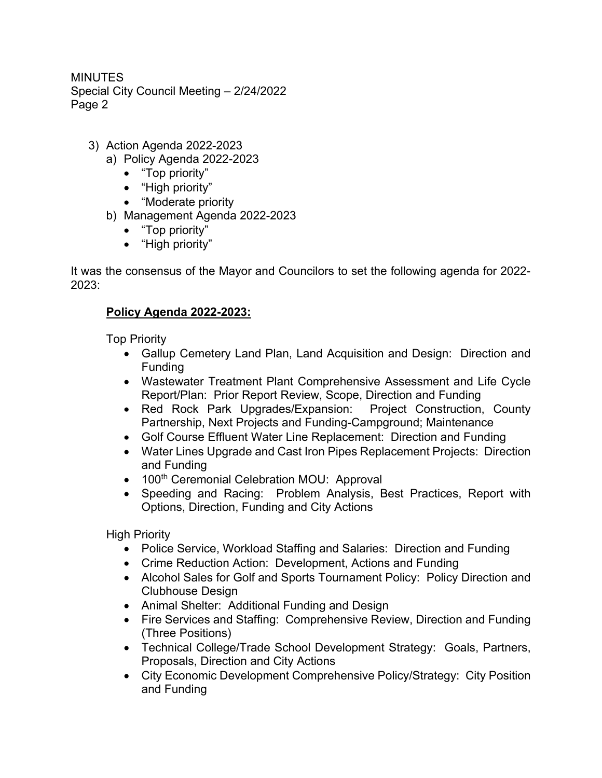MINUTES Special City Council Meeting – 2/24/2022 Page 2

- 3) Action Agenda 2022-2023
	- a) Policy Agenda 2022-2023
		- "Top priority"
		- "High priority"
		- "Moderate priority
	- b) Management Agenda 2022-2023
		- "Top priority"
		- "High priority"

It was the consensus of the Mayor and Councilors to set the following agenda for 2022- 2023:

## **Policy Agenda 2022-2023:**

Top Priority

- Gallup Cemetery Land Plan, Land Acquisition and Design: Direction and Funding
- Wastewater Treatment Plant Comprehensive Assessment and Life Cycle Report/Plan: Prior Report Review, Scope, Direction and Funding
- Red Rock Park Upgrades/Expansion: Project Construction, County Partnership, Next Projects and Funding-Campground; Maintenance
- Golf Course Effluent Water Line Replacement: Direction and Funding
- Water Lines Upgrade and Cast Iron Pipes Replacement Projects: Direction and Funding
- 100<sup>th</sup> Ceremonial Celebration MOU: Approval
- Speeding and Racing: Problem Analysis, Best Practices, Report with Options, Direction, Funding and City Actions

High Priority

- Police Service, Workload Staffing and Salaries: Direction and Funding
- Crime Reduction Action: Development, Actions and Funding
- Alcohol Sales for Golf and Sports Tournament Policy: Policy Direction and Clubhouse Design
- Animal Shelter: Additional Funding and Design
- Fire Services and Staffing: Comprehensive Review, Direction and Funding (Three Positions)
- Technical College/Trade School Development Strategy: Goals, Partners, Proposals, Direction and City Actions
- City Economic Development Comprehensive Policy/Strategy: City Position and Funding